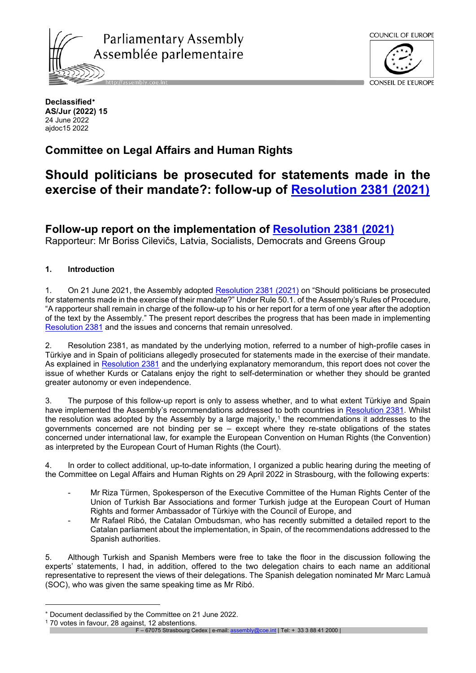



**Declassified**[∗](#page-0-0) **AS/Jur (2022) 15** 24 June 2022 ajdoc15 2022

# **Committee on Legal Affairs and Human Rights**

# **Should politicians be prosecuted for statements made in the exercise of their mandate?: follow-up of [Resolution 2381 \(2021\)](https://pace.coe.int/en/files/29344)**

**Follow-up report on the implementation of [Resolution 2381 \(2021\)](https://pace.coe.int/en/files/29344)**

Rapporteur: Mr Boriss Cilevičs, Latvia, Socialists, Democrats and Greens Group

# **1. Introduction**

1. On 21 June 2021, the Assembly adopted [Resolution 2381 \(2021\)](https://pace.coe.int/en/files/29344) on "Should politicians be prosecuted for statements made in the exercise of their mandate?" Under Rule 50.1. of the Assembly's Rules of Procedure, "A rapporteur shall remain in charge of the follow-up to his or her report for a term of one year after the adoption of the text by the Assembly." The present report describes the progress that has been made in implementing [Resolution 2381](https://pace.coe.int/en/files/29344) and the issues and concerns that remain unresolved.

2. Resolution 2381, as mandated by the underlying motion, referred to a number of high-profile cases in Türkiye and in Spain of politicians allegedly prosecuted for statements made in the exercise of their mandate. As explained in [Resolution 2381](https://pace.coe.int/en/files/29344) and the underlying explanatory memorandum, this report does not cover the issue of whether Kurds or Catalans enjoy the right to self-determination or whether they should be granted greater autonomy or even independence.

3. The purpose of this follow-up report is only to assess whether, and to what extent Türkiye and Spain have implemented the Assembly's recommendations addressed to both countries in [Resolution 2381.](https://pace.coe.int/en/files/29344) Whilst the resolution was adopted by the Assembly by a large majority,<sup>[1](#page-0-1)</sup> the recommendations it addresses to the governments concerned are not binding per se – except where they re-state obligations of the states concerned under international law, for example the European Convention on Human Rights (the Convention) as interpreted by the European Court of Human Rights (the Court).

4. In order to collect additional, up-to-date information, I organized a public hearing during the meeting of the Committee on Legal Affairs and Human Rights on 29 April 2022 in Strasbourg, with the following experts:

- Mr Riza Türmen, Spokesperson of the Executive Committee of the Human Rights Center of the Union of Turkish Bar Associations and former Turkish judge at the European Court of Human Rights and former Ambassador of Türkiye with the Council of Europe, and
- Mr Rafael Ribó, the Catalan Ombudsman, who has recently submitted a detailed report to the Catalan parliament about the implementation, in Spain, of the recommendations addressed to the Spanish authorities.

5. Although Turkish and Spanish Members were free to take the floor in the discussion following the experts' statements, I had, in addition, offered to the two delegation chairs to each name an additional representative to represent the views of their delegations. The Spanish delegation nominated Mr Marc Lamuà (SOC), who was given the same speaking time as Mr Ribó.

<span id="page-0-0"></span>Document declassified by the Committee on 21 June 2022.

<span id="page-0-1"></span><sup>70</sup> votes in favour, 28 against, 12 abstentions.

F – 67075 Strasbourg Cedex | e-mail[: assembly@coe.int](mailto:assembly@coe.int) | Tel: + 33 3 88 41 2000 |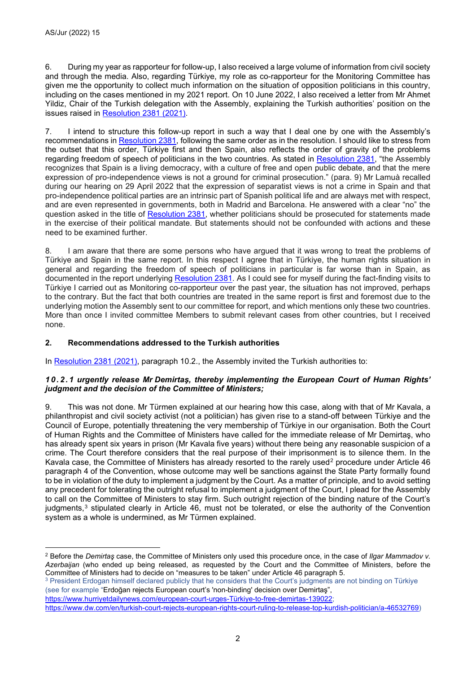6. During my year as rapporteur for follow-up, I also received a large volume of information from civil society and through the media. Also, regarding Türkiye, my role as co-rapporteur for the Monitoring Committee has given me the opportunity to collect much information on the situation of opposition politicians in this country, including on the cases mentioned in my 2021 report. On 10 June 2022, I also received a letter from Mr Ahmet Yildiz, Chair of the Turkish delegation with the Assembly, explaining the Turkish authorities' position on the issues raised in [Resolution 2381 \(2021\).](http://assembly.coe.int/nw/xml/XRef/Xref-DocDetails-EN.asp?fileid=29344)

7. I intend to structure this follow-up report in such a way that I deal one by one with the Assembly's recommendations in [Resolution 2381,](https://pace.coe.int/en/files/29344) following the same order as in the resolution. I should like to stress from the outset that this order, Türkiye first and then Spain, also reflects the order of gravity of the problems regarding freedom of speech of politicians in the two countries. As stated in [Resolution 2381,](https://pace.coe.int/en/files/29344) "the Assembly recognizes that Spain is a living democracy, with a culture of free and open public debate, and that the mere expression of pro-independence views is not a ground for criminal prosecution." (para. 9) Mr Lamuà recalled during our hearing on 29 April 2022 that the expression of separatist views is not a crime in Spain and that pro-independence political parties are an intrinsic part of Spanish political life and are always met with respect, and are even represented in governments, both in Madrid and Barcelona. He answered with a clear "no" the question asked in the title of [Resolution 2381,](https://pace.coe.int/en/files/29344) whether politicians should be prosecuted for statements made in the exercise of their political mandate. But statements should not be confounded with actions and these need to be examined further.

8. I am aware that there are some persons who have argued that it was wrong to treat the problems of Türkiye and Spain in the same report. In this respect I agree that in Türkiye, the human rights situation in general and regarding the freedom of speech of politicians in particular is far worse than in Spain, as documented in the report underlying [Resolution 2381.](https://pace.coe.int/en/files/29344) As I could see for myself during the fact-finding visits to Türkiye I carried out as Monitoring co-rapporteur over the past year, the situation has not improved, perhaps to the contrary. But the fact that both countries are treated in the same report is first and foremost due to the underlying motion the Assembly sent to our committee for report, and which mentions only these two countries. More than once I invited committee Members to submit relevant cases from other countries, but I received none.

## **2. Recommendations addressed to the Turkish authorities**

In [Resolution 2381 \(2021\),](https://pace.coe.int/en/files/29344) paragraph 10.2., the Assembly invited the Turkish authorities to:

#### *10.2.1 urgently release Mr Demirtaş, thereby implementing the European Court of Human Rights' judgment and the decision of the Committee of Ministers;*

9. This was not done. Mr Türmen explained at our hearing how this case, along with that of Mr Kavala, a philanthropist and civil society activist (not a politician) has given rise to a stand-off between Türkiye and the Council of Europe, potentially threatening the very membership of Türkiye in our organisation. Both the Court of Human Rights and the Committee of Ministers have called for the immediate release of Mr Demirtaş, who has already spent six years in prison (Mr Kavala five years) without there being any reasonable suspicion of a crime. The Court therefore considers that the real purpose of their imprisonment is to silence them. In the Kavala case, the Committee of Ministers has already resorted to the rarely used<sup>[2](#page-1-0)</sup> procedure under Article 46 paragraph 4 of the Convention, whose outcome may well be sanctions against the State Party formally found to be in violation of the duty to implement a judgment by the Court. As a matter of principle, and to avoid setting any precedent for tolerating the outright refusal to implement a judgment of the Court, I plead for the Assembly to call on the Committee of Ministers to stay firm. Such outright rejection of the binding nature of the Court's judgments,<sup>[3](#page-1-1)</sup> stipulated clearly in Article 46, must not be tolerated, or else the authority of the Convention system as a whole is undermined, as Mr Türmen explained.

<span id="page-1-1"></span><sup>3</sup> President Erdogan himself declared publicly that he considers that the Court's judgments are not binding on Türkiye (see for example "Erdoğan rejects European court's 'non-binding' decision over Demirtaş",

[https://www.hurriyetdailynews.com/european-court-urges-Türkiye-to-free-demirtas-139022;](https://www.hurriyetdailynews.com/european-court-urges-turkey-to-free-demirtas-139022)

<span id="page-1-0"></span><sup>2</sup> Before the *Demirtaş* case, the Committee of Ministers only used this procedure once, in the case of *Ilgar Mammadov v. Azerbaijan* (who ended up being released, as requested by the Court and the Committee of Ministers, before the Committee of Ministers had to decide on "measures to be taken" under Article 46 paragraph 5.

[https://www.dw.com/en/turkish-court-rejects-european-rights-court-ruling-to-release-top-kurdish-politician/a-46532769\)](https://www.dw.com/en/turkish-court-rejects-european-rights-court-ruling-to-release-top-kurdish-politician/a-46532769)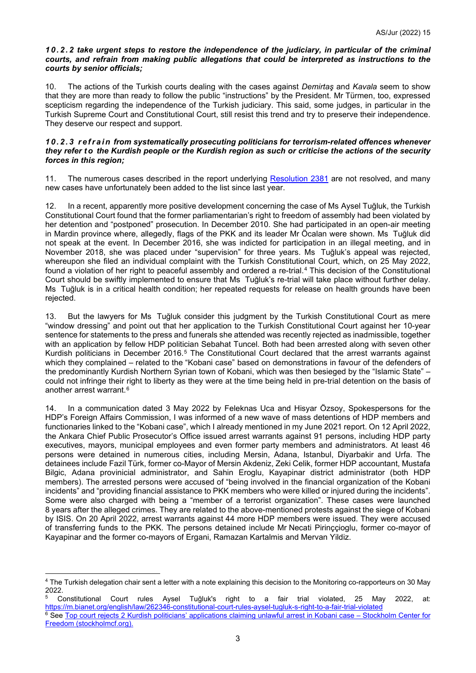#### *10.2.2 take urgent steps to restore the independence of the judiciary, in particular of the criminal courts, and refrain from making public allegations that could be interpreted as instructions to the courts by senior officials;*

10. The actions of the Turkish courts dealing with the cases against *Demirtaş* and *Kavala* seem to show that they are more than ready to follow the public "instructions" by the President. Mr Türmen, too, expressed scepticism regarding the independence of the Turkish judiciary. This said, some judges, in particular in the Turkish Supreme Court and Constitutional Court, still resist this trend and try to preserve their independence. They deserve our respect and support.

#### *10.2.3 refrain from systematically prosecuting politicians for terrorism-related offences whenever they refer t o the Kurdish people or the Kurdish region as such or criticise the actions of the security forces in this region;*

11. The numerous cases described in the report underlying [Resolution 2381](https://pace.coe.int/en/files/29344) are not resolved, and many new cases have unfortunately been added to the list since last year.

12. In a recent, apparently more positive development concerning the case of Ms Aysel Tuğluk, the Turkish Constitutional Court found that the former parliamentarian's right to freedom of assembly had been violated by her detention and "postponed" prosecution. In December 2010. She had participated in an open-air meeting in Mardin province where, allegedly, flags of the PKK and its leader Mr Öcalan were shown. Ms Tuğluk did not speak at the event. In December 2016, she was indicted for participation in an illegal meeting, and in November 2018, she was placed under "supervision" for three years. Ms Tuğluk's appeal was rejected, whereupon she filed an individual complaint with the Turkish Constitutional Court, which, on 25 May 2022, found a violation of her right to peaceful assembly and ordered a re-trial.[4](#page-2-0) This decision of the Constitutional Court should be swiftly implemented to ensure that Ms Tuğluk's re-trial will take place without further delay. Ms Tuğluk is in a critical health condition; her repeated requests for release on health grounds have been rejected.

13. But the lawyers for Ms Tuğluk consider this judgment by the Turkish Constitutional Court as mere "window dressing" and point out that her application to the Turkish Constitutional Court against her 10-year sentence for statements to the press and funerals she attended was recently rejected as inadmissible, together with an application by fellow HDP politician Sebahat Tuncel. Both had been arrested along with seven other Kurdish politicians in December 2016.<sup>[5](#page-2-1)</sup> The Constitutional Court declared that the arrest warrants against which they complained – related to the "Kobani case" based on demonstrations in favour of the defenders of the predominantly Kurdish Northern Syrian town of Kobani, which was then besieged by the "Islamic State" – could not infringe their right to liberty as they were at the time being held in pre-trial detention on the basis of another arrest warrant.[6](#page-2-2)

14. In a communication dated 3 May 2022 by Feleknas Uca and Hisyar Özsoy, Spokespersons for the HDP's Foreign Affairs Commission, I was informed of a new wave of mass detentions of HDP members and functionaries linked to the "Kobani case", which I already mentioned in my June 2021 report. On 12 April 2022, the Ankara Chief Public Prosecutor's Office issued arrest warrants against 91 persons, including HDP party executives, mayors, municipal employees and even former party members and administrators. At least 46 persons were detained in numerous cities, including Mersin, Adana, Istanbul, Diyarbakir and Urfa. The detainees include Fazil Türk, former co-Mayor of Mersin Akdeniz, Zeki Celik, former HDP accountant, Mustafa Bilgic, Adana provinicial administrator, and Sahin Eroglu, Kayapinar district administrator (both HDP members). The arrested persons were accused of "being involved in the financial organization of the Kobani incidents" and "providing financial assistance to PKK members who were killed or injured during the incidents". Some were also charged with being a "member of a terrorist organization". These cases were launched 8 vears after the alleged crimes. They are related to the above-mentioned protests against the siege of Kobani by ISIS. On 20 April 2022, arrest warrants against 44 more HDP members were issued. They were accused of transferring funds to the PKK. The persons detained include Mr Necati Pirinççioglu, former co-mayor of Kayapinar and the former co-mayors of Ergani, Ramazan Kartalmis and Mervan Yildiz.

<span id="page-2-0"></span><sup>4</sup> The Turkish delegation chair sent a letter with a note explaining this decision to the Monitoring co-rapporteurs on 30 May 2022.<br><sup>5</sup> Constitutional Court rules

<span id="page-2-2"></span><span id="page-2-1"></span>Aysel Tuğluk's right to a fair trial violated, 25 May 2022, at: <https://m.bianet.org/english/law/262346-constitutional-court-rules-aysel-tugluk-s-right-to-a-fair-trial-violated> <sup>6</sup> See Top court rejects 2 Kurdish politicians' applications claiming unlawful arrest in Kobani case – Stockholm Center for Freedom [\(stockholmcf.org\).](https://stockholmcf.org/top-court-rejects-2-kurdish-politicians-applications-claiming-unlawful-arrest-in-kobani-case/)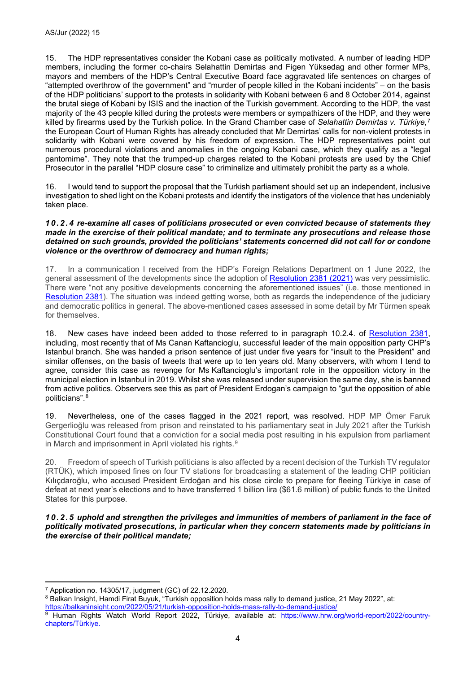15. The HDP representatives consider the Kobani case as politically motivated. A number of leading HDP members, including the former co-chairs Selahattin Demirtas and Figen Yüksedag and other former MPs, mayors and members of the HDP's Central Executive Board face aggravated life sentences on charges of "attempted overthrow of the government" and "murder of people killed in the Kobani incidents" – on the basis of the HDP politicians' support to the protests in solidarity with Kobani between 6 and 8 October 2014, against the brutal siege of Kobani by ISIS and the inaction of the Turkish government. According to the HDP, the vast majority of the 43 people killed during the protests were members or sympathizers of the HDP, and they were killed by firearms used by the Turkish police. In the Grand Chamber case of *Selahattin Demirtas v. Türkiye,*[7](#page-3-0) the European Court of Human Rights has already concluded that Mr Demirtas' calls for non-violent protests in solidarity with Kobani were covered by his freedom of expression. The HDP representatives point out numerous procedural violations and anomalies in the ongoing Kobani case, which they qualify as a "legal pantomime". They note that the trumped-up charges related to the Kobani protests are used by the Chief Prosecutor in the parallel "HDP closure case" to criminalize and ultimately prohibit the party as a whole.

16. I would tend to support the proposal that the Turkish parliament should set up an independent, inclusive investigation to shed light on the Kobani protests and identify the instigators of the violence that has undeniably taken place.

#### *10.2.4 re-examine all cases of politicians prosecuted or even convicted because of statements they made in the exercise of their political mandate; and to terminate any prosecutions and release those detained on such grounds, provided the politicians' statements concerned did not call for or condone violence or the overthrow of democracy and human rights;*

17. In a communication I received from the HDP's Foreign Relations Department on 1 June 2022, the general assessment of the developments since the adoption of [Resolution 2381 \(2021\)](https://pace.coe.int/en/files/29344) was very pessimistic. There were "not any positive developments concerning the aforementioned issues" (i.e. those mentioned in [Resolution 2381\)](https://pace.coe.int/en/files/29344). The situation was indeed getting worse, both as regards the independence of the judiciary and democratic politics in general. The above-mentioned cases assessed in some detail by Mr Türmen speak for themselves.

18. New cases have indeed been added to those referred to in paragraph 10.2.4. of [Resolution 2381,](https://pace.coe.int/en/files/29344) including, most recently that of Ms Canan Kaftancioglu, successful leader of the main opposition party CHP's Istanbul branch. She was handed a prison sentence of just under five years for "insult to the President" and similar offenses, on the basis of tweets that were up to ten years old. Many observers, with whom I tend to agree, consider this case as revenge for Ms Kaftancioglu's important role in the opposition victory in the municipal election in Istanbul in 2019. Whilst she was released under supervision the same day, she is banned from active politics. Observers see this as part of President Erdogan's campaign to "gut the opposition of able politicians".[8](#page-3-1)

19. Nevertheless, one of the cases flagged in the 2021 report, was resolved. HDP MP Ömer Faruk Gergerlioğlu was released from prison and reinstated to his parliamentary seat in July 2021 after the Turkish Constitutional Court found that a conviction for a social media post resulting in his expulsion from parliament in March and imprisonment in April violated his rights.<sup>[9](#page-3-2)</sup>

20. Freedom of speech of Turkish politicians is also affected by a recent decision of the Turkish TV regulator (RTÜK), which imposed fines on four TV stations for broadcasting a statement of the leading CHP politician Kılıçdaroğlu, who accused President Erdoğan and his close circle to prepare for fleeing Türkiye in case of defeat at next year's elections and to have transferred 1 billion lira (\$61.6 million) of public funds to the United States for this purpose.

*10.2.5 uphold and strengthen the privileges and immunities of members of parliament in the face of politically motivated prosecutions, in particular when they concern statements made by politicians in the exercise of their political mandate;*

<span id="page-3-0"></span><sup>7</sup> Application no. 14305/17, judgment (GC) of 22.12.2020.

<span id="page-3-1"></span><sup>8</sup> Balkan Insight, Hamdi Firat Buyuk, "Turkish opposition holds mass rally to demand justice, 21 May 2022", at: <https://balkaninsight.com/2022/05/21/turkish-opposition-holds-mass-rally-to-demand-justice/>

<span id="page-3-2"></span><sup>9</sup> Human Rights Watch World Report 2022, Türkiye, available at: [https://www.hrw.org/world-report/2022/country](https://www.hrw.org/world-report/2022/country-chapters/turkey)[chapters/Türkiye.](https://www.hrw.org/world-report/2022/country-chapters/turkey)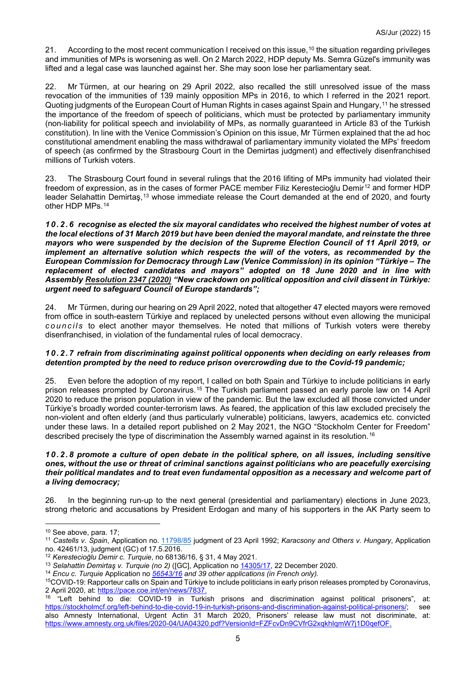21. According to the most recent communication I received on this issue,<sup>[10](#page-4-0)</sup> the situation regarding privileges and immunities of MPs is worsening as well. On 2 March 2022, HDP deputy Ms. Semra Güzel's immunity was lifted and a legal case was launched against her. She may soon lose her parliamentary seat.

22. Mr Türmen, at our hearing on 29 April 2022, also recalled the still unresolved issue of the mass revocation of the immunities of 139 mainly opposition MPs in 2016, to which I referred in the 2021 report. Quoting judgments of the European Court of Human Rights in cases against Spain and Hungary,[11](#page-4-1) he stressed the importance of the freedom of speech of politicians, which must be protected by parliamentary immunity (non-liability for political speech and inviolability of MPs, as normally guaranteed in Article 83 of the Turkish constitution). In line with the Venice Commission's Opinion on this issue, Mr Türmen explained that the ad hoc constitutional amendment enabling the mass withdrawal of parliamentary immunity violated the MPs' freedom of speech (as confirmed by the Strasbourg Court in the Demirtas judgment) and effectively disenfranchised millions of Turkish voters.

23. The Strasbourg Court found in several rulings that the 2016 lifiting of MPs immunity had violated their freedom of expression, as in the cases of former PACE member Filiz Kerestecioğlu Demir<sup>[12](#page-4-2)</sup> and former HDP leader Selahattin Demirtaş,<sup>[13](#page-4-3)</sup> whose immediate release the Court demanded at the end of 2020, and fourty other HDP MPs.[14](#page-4-4)

*10.2.6 recognise as elected the six mayoral candidates who received the highest number of votes at the local elections of 31 March 2019 but have been denied the mayoral mandate, and reinstate the three mayors who were suspended by the decision of the Supreme Election Council of 11 April 2019, or implement an alternative solution which respects the will of the voters, as recommended by the European Commission for Democracy through Law (Venice Commission) in its opinion "Türkiye – The replacement of elected candidates and mayors" adopted on 18 June 2020 and in line with Assembly [Resolution 2347 \(2020\)](https://pace.coe.int/en/files/28818) "New crackdown on political opposition and civil dissent in Türkiye: urgent need to safeguard Council of Europe standards";*

24. Mr Türmen, during our hearing on 29 April 2022, noted that altogether 47 elected mayors were removed from office in south-eastern Türkiye and replaced by unelected persons without even allowing the municipal *councils* to elect another mayor themselves. He noted that millions of Turkish voters were thereby disenfranchised, in violation of the fundamental rules of local democracy.

## *10.2.7 refrain from discriminating against political opponents when deciding on early releases from detention prompted by the need to reduce prison overcrowding due to the Covid-19 pandemic;*

25. Even before the adoption of my report, I called on both Spain and Türkiye to include politicians in early prison releases prompted by Coronavirus.[15](#page-4-5) The Turkish parliament passed an early parole law on 14 April 2020 to reduce the prison population in view of the pandemic. But the law excluded all those convicted under Türkiye's broadly worded counter-terrorism laws. As feared, the application of this law excluded precisely the non-violent and often elderly (and thus particularly vulnerable) politicians, lawyers, academics etc. convicted under these laws. In a detailed report published on 2 May 2021, the NGO "Stockholm Center for Freedom" described precisely the type of discrimination the Assembly warned against in its resolution.[16](#page-4-6)

#### *10.2.8 promote a culture of open debate in the political sphere, on all issues, including sensitive ones, without the use or threat of criminal sanctions against politicians who are peacefully exercising their political mandates and to treat even fundamental opposition as a necessary and welcome part of a living democracy;*

26. In the beginning run-up to the next general (presidential and parliamentary) elections in June 2023, strong rhetoric and accusations by President Erdogan and many of his supporters in the AK Party seem to

<span id="page-4-0"></span><sup>10</sup> See above, para. 17;

<span id="page-4-1"></span><sup>11</sup> *Castells v. Spain*, Application no. [11798/85](https://hudoc.echr.coe.int/eng#%7B%22appno%22:%5B%2211798/85%22%5D%7D) judgment of 23 April 1992; *Karacsony and Others v. Hungary*, Application

no. 42461/13, judgment (GC) of 17.5.2016.<br><sup>12</sup> Kerestecioğlu Demir c. Turquie, no 68136/16, § 31, 4 May 2021.

<span id="page-4-3"></span><span id="page-4-2"></span><sup>&</sup>lt;sup>13</sup> Selahattin Demirtaş v. Turquie (no 2) ([GC], Application no  $14305/17$ , 22 December 2020.<br><sup>14</sup> Encu c. Turquie Application no [56543/16](https://hudoc.echr.coe.int/eng#%7B%22appno%22:%5B%2256543/16%22%5D%7D) and 39 other applications (in French only).

<span id="page-4-4"></span>

<span id="page-4-5"></span><sup>15</sup>COVID-19: Rapporteur calls on Spain and Türkiye to include politicians in early prison releases prompted by Coronavirus, 2 April 2020, at: [https://pace.coe.int/en/news/7837.](https://pace.coe.int/en/news/7837)

<span id="page-4-6"></span><sup>16</sup> "Left behind to die: COVID-19 in Turkish prisons and discrimination against political prisoners", at: [https://stockholmcf.org/left-behind-to-die-covid-19-in-turkish-prisons-and-discrimination-against-political-prisoners/;](https://stockholmcf.org/left-behind-to-die-covid-19-in-turkish-prisons-and-discrimination-against-political-prisoners/) see also Amnesty International, Urgent Actin 31 March 2020, Prisoners' release law must not discriminate, at: [https://www.amnesty.org.uk/files/2020-04/UA04320.pdf?VersionId=FZFcvDn9CVfrG2xqkhIqmW7j1D0qefOF.](https://www.amnesty.org.uk/files/2020-04/UA04320.pdf?VersionId=FZFcvDn9CVfrG2xqkhIqmW7j1D0qefOF)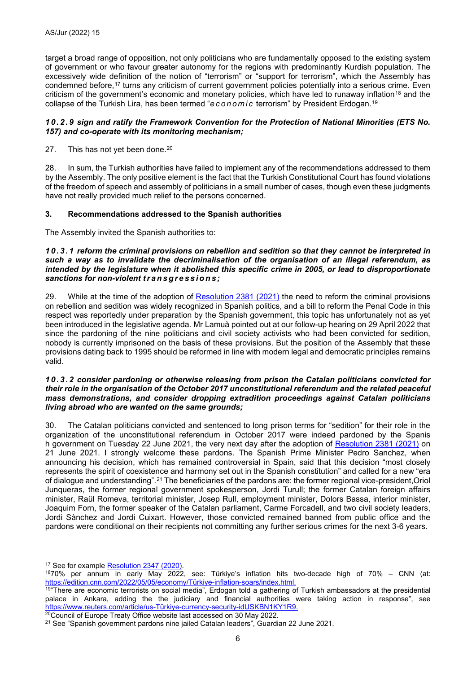target a broad range of opposition, not only politicians who are fundamentally opposed to the existing system of government or who favour greater autonomy for the regions with predominantly Kurdish population. The excessively wide definition of the notion of "terrorism" or "support for terrorism", which the Assembly has condemned before,[17](#page-5-0) turns any criticism of current government policies potentially into a serious crime. Even criticism of the government's economic and monetary policies, which have led to runaway inflation<sup>[18](#page-5-1)</sup> and the collapse of the Turkish Lira, has been termed "*economic* terrorism" by President Erdogan.[19](#page-5-2)

#### *10.2.9 sign and ratify the Framework Convention for the Protection of National Minorities (ETS No. 157) and co-operate with its monitoring mechanism;*

27. This has not yet been done.<sup>[20](#page-5-3)</sup>

28. In sum, the Turkish authorities have failed to implement any of the recommendations addressed to them by the Assembly. The only positive element is the fact that the Turkish Constitutional Court has found violations of the freedom of speech and assembly of politicians in a small number of cases, though even these judgments have not really provided much relief to the persons concerned.

#### **3. Recommendations addressed to the Spanish authorities**

The Assembly invited the Spanish authorities to:

#### *10.3.1 reform the criminal provisions on rebellion and sedition so that they cannot be interpreted in such a way as to invalidate the decriminalisation of the organisation of an illegal referendum, as intended by the legislature when it abolished this specific crime in 2005, or lead to disproportionate sanctions for non-violent transgressions ;*

29. While at the time of the adoption of **Resolution 2381 (2021)** the need to reform the criminal provisions on rebellion and sedition was widely recognized in Spanish politics, and a bill to reform the Penal Code in this respect was reportedly under preparation by the Spanish government, this topic has unfortunately not as yet been introduced in the legislative agenda. Mr Lamuà pointed out at our follow-up hearing on 29 April 2022 that since the pardoning of the nine politicians and civil society activists who had been convicted for sedition, nobody is currently imprisoned on the basis of these provisions. But the position of the Assembly that these provisions dating back to 1995 should be reformed in line with modern legal and democratic principles remains valid.

#### *10.3.2 consider pardoning or otherwise releasing from prison the Catalan politicians convicted for their role in the organisation of the October 2017 unconstitutional referendum and the related peaceful mass demonstrations, and consider dropping extradition proceedings against Catalan politicians living abroad who are wanted on the same grounds;*

30. The Catalan politicians convicted and sentenced to long prison terms for "sedition" for their role in the organization of the unconstitutional referendum in October 2017 were indeed pardoned by the Spanis h government on Tuesday 22 June 2021, the very next day after the adoption of [Resolution 2381 \(2021\)](https://pace.coe.int/en/files/29344) on 21 June 2021. I strongly welcome these pardons. The Spanish Prime Minister Pedro Sanchez, when announcing his decision, which has remained controversial in Spain, said that this decision "most closely represents the spirit of coexistence and harmony set out in the Spanish constitution" and called for a new "era of dialogue and understanding".[21](#page-5-4) The beneficiaries of the pardons are: the former regional vice-president,Oriol Junqueras, the former regional government spokesperson, Jordi Turull; the former Catalan foreign affairs minister, Raül Romeva, territorial minister, Josep Rull, employment minister, Dolors Bassa, interior minister, Joaquim Forn, the former speaker of the Catalan parliament, Carme Forcadell, and two civil society leaders, Jordi Sànchez and Jordi Cuixart. However, those convicted remained banned from public office and the pardons were conditional on their recipients not committing any further serious crimes for the next 3-6 years.

<span id="page-5-1"></span><span id="page-5-0"></span><sup>&</sup>lt;sup>17</sup> See for example <u>Resolution 2347 (2020)</u>.<br><sup>18</sup>70% per annum in early May 2022, see: Türkiye's inflation hits two-decade high of 70% – CNN (at: [https://edition.cnn.com/2022/05/05/economy/Türkiye-inflation-soars/index.html.](https://edition.cnn.com/2022/05/05/economy/turkey-inflation-soars/index.html)

<span id="page-5-2"></span><sup>&</sup>lt;sup>19</sup>"There are economic terrorists on social media", Erdogan told a gathering of Turkish ambassadors at the presidential palace in Ankara, adding the the judiciary and financial authorities were taking action in response", see [https://www.reuters.com/article/us-Türkiye-currency-security-idUSKBN1KY1R9.](https://www.reuters.com/article/us-turkey-currency-security-idUSKBN1KY1R9) <sup>20</sup>Council of Europe Treaty Office website last accessed on 30 May 2022.

<span id="page-5-4"></span><span id="page-5-3"></span><sup>21</sup> See "Spanish government pardons nine jailed Catalan leaders", Guardian 22 June 2021.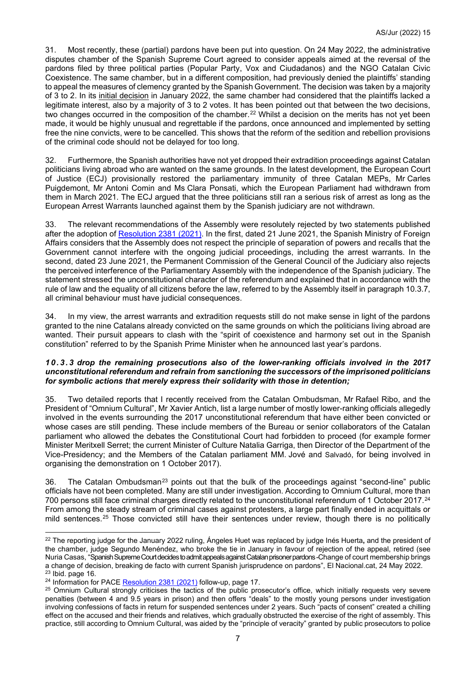31. Most recently, these (partial) pardons have been put into question. On 24 May 2022, the administrative disputes chamber of the Spanish Supreme Court agreed to consider appeals aimed at the reversal of the pardons filed by three political parties (Popular Party, Vox and Ciudadanos) and the NGO Catalan Civic Coexistence. The same chamber, but in a different composition, had previously denied the plaintiffs' standing to appeal the measures of clemency granted by the Spanish Government. The decision was taken by a majority of 3 to 2. In its [initial decision](https://www.elnacional.cat/en/politics/supreme-court-rejects-appeals-pardons-catalan-political-prisoners_698664_102.html) in January 2022, the same chamber had considered that the plaintiffs lacked a legitimate interest, also by a majority of 3 to 2 votes. It has been pointed out that between the two decisions, two changes occurred in the composition of the chamber.<sup>[22](#page-6-0)</sup> Whilst a decision on the merits has not vet been made, it would be highly unusual and regrettable if the pardons, once announced and implemented by setting free the nine convicts, were to be cancelled. This shows that the reform of the sedition and rebellion provisions of the criminal code should not be delayed for too long.

32. Furthermore, the Spanish authorities have not yet dropped their extradition proceedings against Catalan politicians living abroad who are wanted on the same grounds. In the latest development, the European Court of Justice (ECJ) provisionally restored the parliamentary immunity of three Catalan MEPs, Mr Carles Puigdemont, Mr Antoni Comin and Ms Clara Ponsati, which the European Parliament had withdrawn from them in March 2021. The ECJ argued that the three politicians still ran a serious risk of arrest as long as the European Arrest Warrants launched against them by the Spanish judiciary are not withdrawn.

33. The relevant recommendations of the Assembly were resolutely rejected by two statements published after the adoption of [Resolution 2381 \(2021\).](http://assembly.coe.int/nw/xml/XRef/Xref-DocDetails-EN.asp?fileid=29344) In the first, dated 21 June 2021, the Spanish Ministry of Foreign Affairs considers that the Assembly does not respect the principle of separation of powers and recalls that the Government cannot interfere with the ongoing judicial proceedings, including the arrest warrants. In the second, dated 23 June 2021, the Permanent Commission of the General Council of the Judiciary also rejects the perceived interference of the Parliamentary Assembly with the independence of the Spanish judiciary. The statement stressed the unconstitutional character of the referendum and explained that in accordance with the rule of law and the equality of all citizens before the law, referred to by the Assembly itself in paragraph 10.3.7, all criminal behaviour must have judicial consequences.

In my view, the arrest warrants and extradition requests still do not make sense in light of the pardons granted to the nine Catalans already convicted on the same grounds on which the politicians living abroad are wanted. Their pursuit appears to clash with the "spirit of coexistence and harmony set out in the Spanish constitution" referred to by the Spanish Prime Minister when he announced last year's pardons.

#### *10.3.3 drop the remaining prosecutions also of the lower-ranking officials involved in the 2017 unconstitutional referendum and refrain from sanctioning the successors of the imprisoned politicians for symbolic actions that merely express their solidarity with those in detention;*

35. Two detailed reports that I recently received from the Catalan Ombudsman, Mr Rafael Ribo, and the President of "Omnium Cultural", Mr Xavier Antich, list a large number of mostly lower-ranking officials allegedly involved in the events surrounding the 2017 unconstitutional referendum that have either been convicted or whose cases are still pending. These include members of the Bureau or senior collaborators of the Catalan parliament who allowed the debates the Constitutional Court had forbidden to proceed (for example former Minister Meritxell Serret; the current Minister of Culture Natalia Garriga, then Director of the Department of the Vice-Presidency; and the Members of the Catalan parliament MM. Jové and Salvadó, for being involved in organising the demonstration on 1 October 2017).

36. The Catalan Ombudsman<sup>[23](#page-6-1)</sup> points out that the bulk of the proceedings against "second-line" public officials have not been completed. Many are still under investigation. According to Omnium Cultural, more than 700 persons still face criminal charges directly related to the unconstitutional referendum of 1 October 2017.<sup>[24](#page-6-2)</sup> From among the steady stream of criminal cases against protesters, a large part finally ended in acquittals or mild sentences.<sup>[25](#page-6-3)</sup> Those convicted still have their sentences under review, though there is no politically

<span id="page-6-0"></span><sup>22</sup> The reporting judge for the January 2022 ruling, Ángeles Huet was replaced by judge Inés Huerta**,** and the president of the chamber, judge Segundo Menéndez, who broke the tie in January in favour of rejection of the appeal, retired (see Nuria Casas, "Spanish Supreme Court decides to admit appeals against Catalan prisoner pardons -Change of court membership brings a change of decision, breaking de facto with current Spanish jurisprudence on pardons", El Nacional.cat, 24 May 2022.<br><sup>23</sup> Ibid. page 16.

<span id="page-6-2"></span><span id="page-6-1"></span><sup>&</sup>lt;sup>24</sup> Information for PACE [Resolution 2381 \(2021\)](https://pace.coe.int/en/files/29344) follow-up, page 17.

<span id="page-6-3"></span><sup>&</sup>lt;sup>25</sup> Omnium Cultural strongly criticises the tactics of the public prosecutor's office, which initially requests very severe penalties (between 4 and 9.5 years in prison) and then offers "deals" to the mostly young persons under investigation involving confessions of facts in return for suspended sentences under 2 years. Such "pacts of consent" created a chilling effect on the accused and their friends and relatives, which gradually obstructed the exercise of the right of assembly. This practice, still according to Omnium Cultural, was aided by the "principle of veracity" granted by public prosecutors to police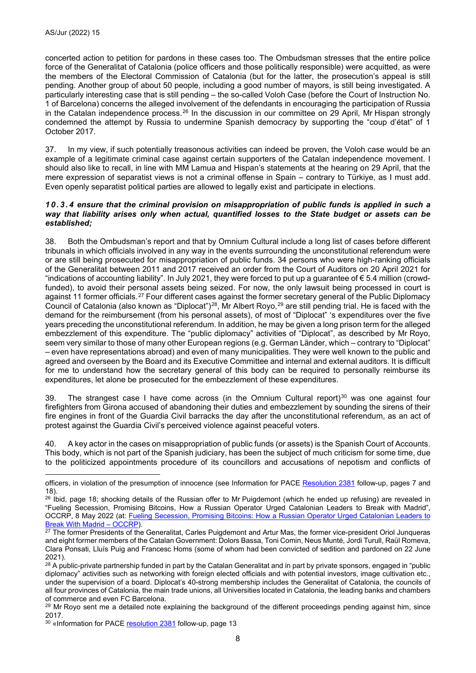concerted action to petition for pardons in these cases too. The Ombudsman stresses that the entire police force of the Generalitat of Catalonia (police officers and those politically responsible) were acquitted, as were the members of the Electoral Commission of Catalonia (but for the latter, the prosecution's appeal is still pending. Another group of about 50 people, including a good number of mayors, is still being investigated. A particularly interesting case that is still pending – the so-called Voloh Case (before the Court of Instruction No. 1 of Barcelona) concerns the alleged involvement of the defendants in encouraging the participation of Russia in the Catalan independence process.[26](#page-7-0) In the discussion in our committee on 29 April, Mr Hispan strongly condemned the attempt by Russia to undermine Spanish democracy by supporting the "coup d'état" of 1 October 2017.

37. In my view, if such potentially treasonous activities can indeed be proven, the Voloh case would be an example of a legitimate criminal case against certain supporters of the Catalan independence movement. I should also like to recall, in line with MM Lamua and Hispan's statements at the hearing on 29 April, that the mere expression of separatist views is not a criminal offense in Spain – contrary to Türkiye, as I must add. Even openly separatist political parties are allowed to legally exist and participate in elections.

#### *10.3.4 ensure that the criminal provision on misappropriation of public funds is applied in such a way that liability arises only when actual, quantified losses to the State budget or assets can be established;*

38. Both the Ombudsman's report and that by Omnium Cultural include a long list of cases before different tribunals in which officials involved in any way in the events surrounding the unconstitutional referendum were or are still being prosecuted for misappropriation of public funds. 34 persons who were high-ranking officials of the Generalitat between 2011 and 2017 received an order from the Court of Auditors on 20 April 2021 for "indications of accounting liability". In July 2021, they were forced to put up a guarantee of € 5.4 million (crowdfunded), to avoid their personal assets being seized. For now, the only lawsuit being processed in court is against 11 former officials.<sup>[27](#page-7-1)</sup> Four different cases against the former secretary general of the Public Diplomacy Council of Catalonia (also known as "Diplocat")<sup>28</sup>, Mr Albert Royo,<sup>[29](#page-7-3)</sup> are still pending trial. He is faced with the demand for the reimbursement (from his personal assets), of most of "Diplocat" 's expenditures over the five years preceding the unconstitutional referendum. In addition, he may be given a long prison term for the alleged embezzlement of this expenditure. The "public diplomacy" activities of "Diplocat", as described by Mr Royo, seem very similar to those of many other European regions (e.g. German Länder, which – contrary to "Diplocat" – even have representations abroad) and even of many municipalities. They were well known to the public and agreed and overseen by the Board and its Executive Committee and internal and external auditors. It is difficult for me to understand how the secretary general of this body can be required to personally reimburse its expenditures, let alone be prosecuted for the embezzlement of these expenditures.

39. The strangest case I have come across (in the Omnium Cultural report)<sup>[30](#page-7-4)</sup> was one against four firefighters from Girona accused of abandoning their duties and embezzlement by sounding the sirens of their fire engines in front of the Guardia Civil barracks the day after the unconstitutional referendum, as an act of protest against the Guardia Civil's perceived violence against peaceful voters.

40. A key actor in the cases on misappropriation of public funds (or assets) is the Spanish Court of Accounts. This body, which is not part of the Spanish judiciary, has been the subject of much criticism for some time, due to the politicized appointments procedure of its councillors and accusations of nepotism and conflicts of

officers, in violation of the presumption of innocence (see Information for PACE [Resolution 2381](https://pace.coe.int/en/files/29344) follow-up, pages 7 and 18).

<span id="page-7-0"></span><sup>&</sup>lt;sup>26</sup> Ibid, page 18; shocking details of the Russian offer to Mr Puigdemont (which he ended up refusing) are revealed in "Fueling Secession, Promising Bitcoins, How a Russian Operator Urged Catalonian Leaders to Break with Madrid", OCCRP, 8 May 2022 (at: [Fueling Secession, Promising Bitcoins: How a Russian Operator Urged Catalonian Leaders to](https://www.occrp.org/en/investigations/fueling-secession-promising-bitcoins-how-a-russian-operator-urged-catalonian-leaders-to-break-with-madrid) Break With Madrid - OCCRP).

<span id="page-7-1"></span> $\frac{27}{27}$  The former Presidents of the Generalitat, Carles Puigdemont and Artur Mas, the former vice-president Oriol Junqueras and eight former members of the Catalan Government: Dolors Bassa, Toni Comin, Neus Munté, Jordi Turull, Raül Romeva, Clara Ponsati, Lluís Puig and Francesc Homs (some of whom had been convicted of sedition and pardoned on 22 June 2021).<br><sup>28</sup> A public-private partnership funded in part by the Catalan Generalitat and in part by private sponsors, engaged in "public

<span id="page-7-2"></span>diplomacy" activities such as networking with foreign elected officials and with potential investors, image cultivation etc., under the supervision of a board. Diplocat's 40-strong membership includes the Generalitat of Catalonia, the councils of all four provinces of Catalonia, the main trade unions, all Universities located in Catalonia, the leading banks and chambers of commerce and even FC Barcelona.

<span id="page-7-3"></span> $^{29}$  Mr Royo sent me a detailed note explaining the background of the different proceedings pending against him, since  $2017$ .

<span id="page-7-4"></span><sup>&</sup>lt;sup>30</sup> «Information for PAC[E resolution 2381](https://pace.coe.int/en/files/29344) follow-up, page 13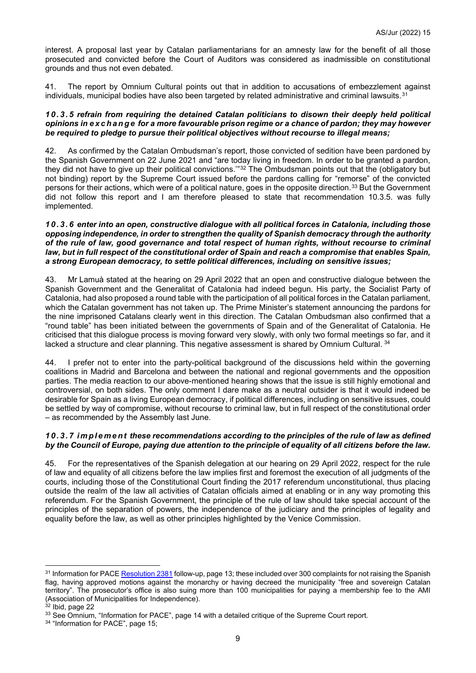interest. A proposal last year by Catalan parliamentarians for an amnesty law for the benefit of all those prosecuted and convicted before the Court of Auditors was considered as inadmissible on constitutional grounds and thus not even debated.

41. The report by Omnium Cultural points out that in addition to accusations of embezzlement against individuals, municipal bodies have also been targeted by related administrative and criminal lawsuits.<sup>[31](#page-8-0)</sup>

#### *10.3.5 refrain from requiring the detained Catalan politicians to disown their deeply held political opinions in exchange for a more favourable prison regime or a chance of pardon; they may however be required to pledge to pursue their political objectives without recourse to illegal means;*

42. As confirmed by the Catalan Ombudsman's report, those convicted of sedition have been pardoned by the Spanish Government on 22 June 2021 and "are today living in freedom. In order to be granted a pardon, they did not have to give up their political convictions.'"[32](#page-8-1) The Ombudsman points out that the (obligatory but not binding) report by the Supreme Court issued before the pardons calling for "remorse" of the convicted persons for their actions, which were of a political nature, goes in the opposite direction.<sup>[33](#page-8-2)</sup> But the Government did not follow this report and I am therefore pleased to state that recommendation 10.3.5. was fully implemented.

#### *10.3.6 enter into an open, constructive dialogue with all political forces in Catalonia, including those opposing independence, in order to strengthen the quality of Spanish democracy through the authority of the rule of law, good governance and total respect of human rights, without recourse to criminal law, but in full respect of the constitutional order of Spain and reach a compromise that enables Spain, a strong European democracy, to settle political differences, including on sensitive issues;*

43. Mr Lamuà stated at the hearing on 29 April 2022 that an open and constructive dialogue between the Spanish Government and the Generalitat of Catalonia had indeed begun. His party, the Socialist Party of Catalonia, had also proposed a round table with the participation of all political forces in the Catalan parliament, which the Catalan government has not taken up. The Prime Minister's statement announcing the pardons for the nine imprisoned Catalans clearly went in this direction. The Catalan Ombudsman also confirmed that a "round table" has been initiated between the governments of Spain and of the Generalitat of Catalonia. He criticised that this dialogue process is moving forward very slowly, with only two formal meetings so far, and it lacked a structure and clear planning. This negative assessment is shared by Omnium Cultural. [34](#page-8-3)

44. I prefer not to enter into the party-political background of the discussions held within the governing coalitions in Madrid and Barcelona and between the national and regional governments and the opposition parties. The media reaction to our above-mentioned hearing shows that the issue is still highly emotional and controversial, on both sides. The only comment I dare make as a neutral outsider is that it would indeed be desirable for Spain as a living European democracy, if political differences, including on sensitive issues, could be settled by way of compromise, without recourse to criminal law, but in full respect of the constitutional order – as recommended by the Assembly last June.

## *10.3.7 implement these recommendations according to the principles of the rule of law as defined by the Council of Europe, paying due attention to the principle of equality of all citizens before the law.*

45. For the representatives of the Spanish delegation at our hearing on 29 April 2022, respect for the rule of law and equality of all citizens before the law implies first and foremost the execution of all judgments of the courts, including those of the Constitutional Court finding the 2017 referendum unconstitutional, thus placing outside the realm of the law all activities of Catalan officials aimed at enabling or in any way promoting this referendum. For the Spanish Government, the principle of the rule of law should take special account of the principles of the separation of powers, the independence of the judiciary and the principles of legality and equality before the law, as well as other principles highlighted by the Venice Commission.

<span id="page-8-0"></span><sup>&</sup>lt;sup>31</sup> Information for PACE [Resolution 2381](https://pace.coe.int/en/files/29344) follow-up, page 13; these included over 300 complaints for not raising the Spanish flag, having approved motions against the monarchy or having decreed the municipality "free and sovereign Catalan territory". The prosecutor's office is also suing more than 100 municipalities for paying a membership fee to the AMI (Association of Municipalities for Independence).

<span id="page-8-1"></span> $32$  Ibid, page 22

<span id="page-8-2"></span><sup>33</sup> See Omnium, "Information for PACE", page 14 with a detailed critique of the Supreme Court report.

<span id="page-8-3"></span><sup>&</sup>lt;sup>34</sup> "Information for PACE", page 15;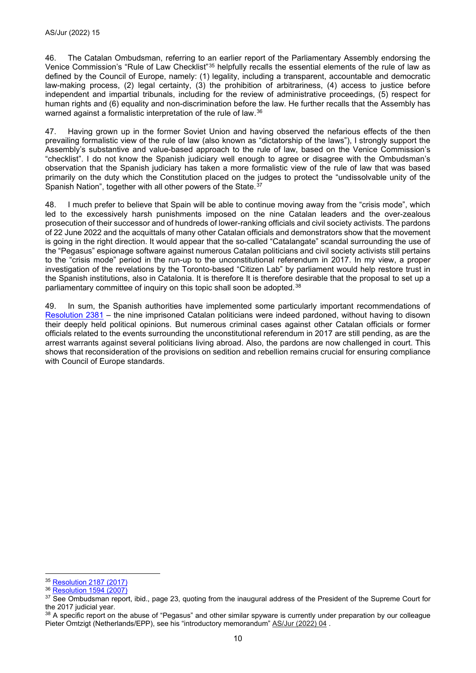46. The Catalan Ombudsman, referring to an earlier report of the Parliamentary Assembly endorsing the Venice Commission's "Rule of Law Checklist"[35](#page-9-0) helpfully recalls the essential elements of the rule of law as defined by the Council of Europe, namely: (1) legality, including a transparent, accountable and democratic law-making process, (2) legal certainty, (3) the prohibition of arbitrariness, (4) access to justice before independent and impartial tribunals, including for the review of administrative proceedings, (5) respect for human rights and (6) equality and non-discrimination before the law. He further recalls that the Assembly has warned against a formalistic interpretation of the rule of law.<sup>[36](#page-9-1)</sup>

47. Having grown up in the former Soviet Union and having observed the nefarious effects of the then prevailing formalistic view of the rule of law (also known as "dictatorship of the laws"), I strongly support the Assembly's substantive and value-based approach to the rule of law, based on the Venice Commission's "checklist". I do not know the Spanish judiciary well enough to agree or disagree with the Ombudsman's observation that the Spanish judiciary has taken a more formalistic view of the rule of law that was based primarily on the duty which the Constitution placed on the judges to protect the "undissolvable unity of the Spanish Nation", together with all other powers of the State.<sup>[37](#page-9-2)</sup>

48. I much prefer to believe that Spain will be able to continue moving away from the "crisis mode", which led to the excessively harsh punishments imposed on the nine Catalan leaders and the over-zealous prosecution of their successor and of hundreds of lower-ranking officials and civil society activists. The pardons of 22 June 2022 and the acquittals of many other Catalan officials and demonstrators show that the movement is going in the right direction. It would appear that the so-called "Catalangate" scandal surrounding the use of the "Pegasus" espionage software against numerous Catalan politicians and civil society activists still pertains to the "crisis mode" period in the run-up to the unconstitutional referendum in 2017. In my view, a proper investigation of the revelations by the Toronto-based "Citizen Lab" by parliament would help restore trust in the Spanish institutions, also in Catalonia. It is therefore It is therefore desirable that the proposal to set up a parliamentary committee of inquiry on this topic shall soon be adopted.<sup>[38](#page-9-3)</sup>

49. In sum, the Spanish authorities have implemented some particularly important recommendations of [Resolution 2381](http://assembly.coe.int/nw/xml/XRef/Xref-DocDetails-EN.asp?fileid=29344) – the nine imprisoned Catalan politicians were indeed pardoned, without having to disown their deeply held political opinions. But numerous criminal cases against other Catalan officials or former officials related to the events surrounding the unconstitutional referendum in 2017 are still pending, as are the arrest warrants against several politicians living abroad. Also, the pardons are now challenged in court. This shows that reconsideration of the provisions on sedition and rebellion remains crucial for ensuring compliance with Council of Europe standards.

<span id="page-9-0"></span><sup>35</sup> [Resolution 2187 \(2017\)](https://pace.coe.int/en/files/24213)

<span id="page-9-1"></span><sup>36</sup> [Resolution 1594 \(2007\)](https://pace.coe.int/en/files/17613)

<span id="page-9-2"></span><sup>37</sup> See Ombudsman report, ibid., page 23, quoting from the inaugural address of the President of the Supreme Court for the 2017 judicial year.

<span id="page-9-3"></span><sup>38</sup> A specific report on the abuse of "Pegasus" and other similar spyware is currently under preparation by our colleague Pieter Omtzigt (Netherlands/EPP), see his "introductory memorandum" AS/Jur (2022) 04.